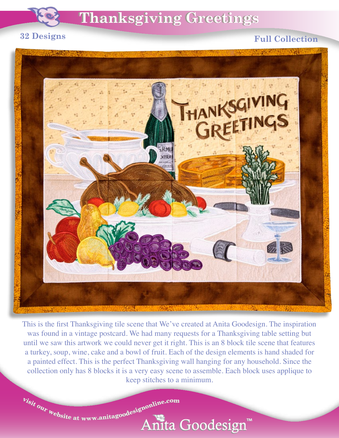

## **32 Designs**

## **Full Collection**



This is the first Thanksgiving tile scene that We've created at Anita Goodesign. The inspiration was found in a vintage postcard. We had many requests for a Thanksgiving table setting but until we saw this artwork we could never get it right. This is an 8 block tile scene that features a turkey, soup, wine, cake and a bowl of fruit. Each of the design elements is hand shaded for a painted effect. This is the perfect Thanksgiving wall hanging for any household. Since the collection only has 8 blocks it is a very easy scene to assemble. Each block uses applique to keep stitches to a minimum.

 $v_{isit}$  our  $v_{\text{e}bsite$  at www.anitagoodesignonline.com

Anita Goodesign